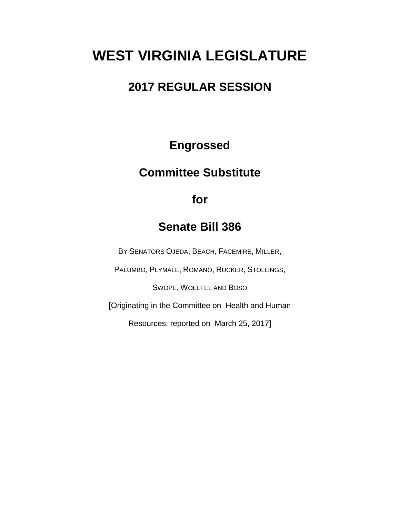# **WEST VIRGINIA LEGISLATURE**

# **2017 REGULAR SESSION**

**Engrossed**

# **Committee Substitute**

**for**

# **Senate Bill 386**

BY SENATORS OJEDA, BEACH, FACEMIRE, MILLER,

PALUMBO, PLYMALE, ROMANO, RUCKER, STOLLINGS,

SWOPE, WOELFEL AND BOSO

[Originating in the Committee on Health and Human

Resources; reported on March 25, 2017]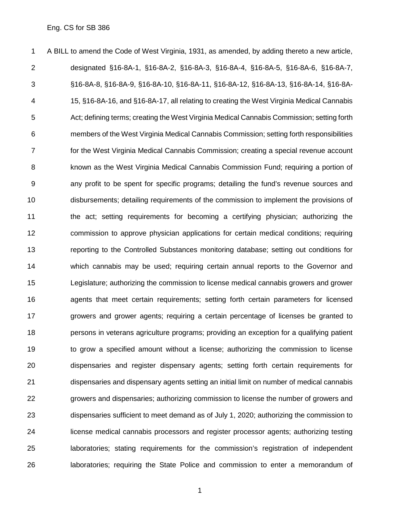A BILL to amend the Code of West Virginia, 1931, as amended, by adding thereto a new article, designated §16-8A-1, §16-8A-2, §16-8A-3, §16-8A-4, §16-8A-5, §16-8A-6, §16-8A-7, §16-8A-8, §16-8A-9, §16-8A-10, §16-8A-11, §16-8A-12, §16-8A-13, §16-8A-14, §16-8A- 15, §16-8A-16, and §16-8A-17, all relating to creating the West Virginia Medical Cannabis Act; defining terms; creating the West Virginia Medical Cannabis Commission; setting forth members of the West Virginia Medical Cannabis Commission; setting forth responsibilities for the West Virginia Medical Cannabis Commission; creating a special revenue account known as the West Virginia Medical Cannabis Commission Fund; requiring a portion of any profit to be spent for specific programs; detailing the fund's revenue sources and disbursements; detailing requirements of the commission to implement the provisions of the act; setting requirements for becoming a certifying physician; authorizing the commission to approve physician applications for certain medical conditions; requiring reporting to the Controlled Substances monitoring database; setting out conditions for which cannabis may be used; requiring certain annual reports to the Governor and Legislature; authorizing the commission to license medical cannabis growers and grower agents that meet certain requirements; setting forth certain parameters for licensed growers and grower agents; requiring a certain percentage of licenses be granted to persons in veterans agriculture programs; providing an exception for a qualifying patient to grow a specified amount without a license; authorizing the commission to license dispensaries and register dispensary agents; setting forth certain requirements for dispensaries and dispensary agents setting an initial limit on number of medical cannabis growers and dispensaries; authorizing commission to license the number of growers and dispensaries sufficient to meet demand as of July 1, 2020; authorizing the commission to license medical cannabis processors and register processor agents; authorizing testing laboratories; stating requirements for the commission's registration of independent laboratories; requiring the State Police and commission to enter a memorandum of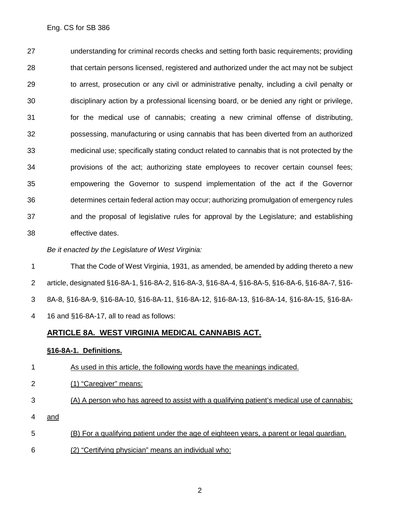understanding for criminal records checks and setting forth basic requirements; providing that certain persons licensed, registered and authorized under the act may not be subject to arrest, prosecution or any civil or administrative penalty, including a civil penalty or disciplinary action by a professional licensing board, or be denied any right or privilege, for the medical use of cannabis; creating a new criminal offense of distributing, possessing, manufacturing or using cannabis that has been diverted from an authorized medicinal use; specifically stating conduct related to cannabis that is not protected by the provisions of the act; authorizing state employees to recover certain counsel fees; empowering the Governor to suspend implementation of the act if the Governor determines certain federal action may occur; authorizing promulgation of emergency rules and the proposal of legislative rules for approval by the Legislature; and establishing effective dates.

*Be it enacted by the Legislature of West Virginia:*

 That the Code of West Virginia, 1931, as amended, be amended by adding thereto a new article, designated §16-8A-1, §16-8A-2, §16-8A-3, §16-8A-4, §16-8A-5, §16-8A-6, §16-8A-7, §16- 8A-8, §16-8A-9, §16-8A-10, §16-8A-11, §16-8A-12, §16-8A-13, §16-8A-14, §16-8A-15, §16-8A-16 and §16-8A-17, all to read as follows:

### **ARTICLE 8A. WEST VIRGINIA MEDICAL CANNABIS ACT.**

#### **§16-8A-1. Definitions.**

- As used in this article, the following words have the meanings indicated.
- (1) "Caregiver" means:
- (A) A person who has agreed to assist with a qualifying patient's medical use of cannabis;
- 4 and
- (B) For a qualifying patient under the age of eighteen years, a parent or legal guardian.
- (2) "Certifying physician" means an individual who: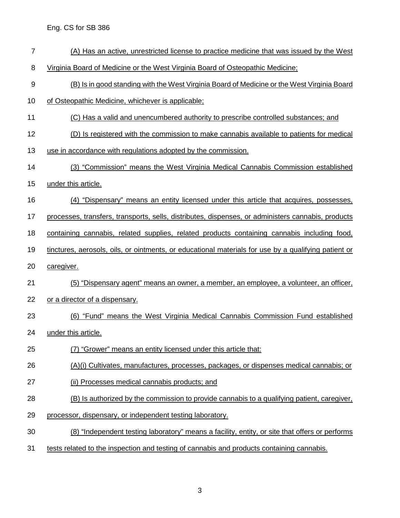- (A) Has an active, unrestricted license to practice medicine that was issued by the West
- Virginia Board of Medicine or the West Virginia Board of Osteopathic Medicine;
- (B) Is in good standing with the West Virginia Board of Medicine or the West Virginia Board
- of Osteopathic Medicine, whichever is applicable;
- (C) Has a valid and unencumbered authority to prescribe controlled substances; and
- (D) Is registered with the commission to make cannabis available to patients for medical
- use in accordance with regulations adopted by the commission.
- (3) "Commission" means the West Virginia Medical Cannabis Commission established
- under this article.
- (4) "Dispensary" means an entity licensed under this article that acquires, possesses,
- processes, transfers, transports, sells, distributes, dispenses, or administers cannabis, products
- 18 containing cannabis, related supplies, related products containing cannabis including food,
- tinctures, aerosols, oils, or ointments, or educational materials for use by a qualifying patient or
- caregiver.
- (5) "Dispensary agent" means an owner, a member, an employee, a volunteer, an officer,
- or a director of a dispensary.
- (6) "Fund" means the West Virginia Medical Cannabis Commission Fund established
- under this article.
- (7) "Grower" means an entity licensed under this article that:
- (A)(i) Cultivates, manufactures, processes, packages, or dispenses medical cannabis; or
- (ii) Processes medical cannabis products; and
- (B) Is authorized by the commission to provide cannabis to a qualifying patient, caregiver,
- processor, dispensary, or independent testing laboratory.
- (8) "Independent testing laboratory" means a facility, entity, or site that offers or performs
- tests related to the inspection and testing of cannabis and products containing cannabis.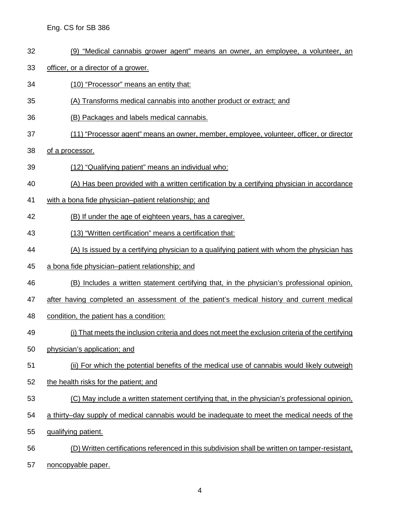- (9) "Medical cannabis grower agent" means an owner, an employee, a volunteer, an
- officer, or a director of a grower.
- (10) "Processor" means an entity that:
- (A) Transforms medical cannabis into another product or extract; and
- (B) Packages and labels medical cannabis.
- (11) "Processor agent" means an owner, member, employee, volunteer, officer, or director
- of a processor.
- (12) "Qualifying patient" means an individual who:
- (A) Has been provided with a written certification by a certifying physician in accordance
- with a bona fide physician–patient relationship; and
- (B) If under the age of eighteen years, has a caregiver.
- (13) "Written certification" means a certification that:
- (A) Is issued by a certifying physician to a qualifying patient with whom the physician has
- a bona fide physician–patient relationship; and
- (B) Includes a written statement certifying that, in the physician's professional opinion,
- after having completed an assessment of the patient's medical history and current medical
- 48 condition, the patient has a condition:
- (i) That meets the inclusion criteria and does not meet the exclusion criteria of the certifying
- physician's application; and
- (ii) For which the potential benefits of the medical use of cannabis would likely outweigh
- the health risks for the patient; and
- (C) May include a written statement certifying that, in the physician's professional opinion,
- a thirty–day supply of medical cannabis would be inadequate to meet the medical needs of the
- qualifying patient.
- (D) Written certifications referenced in this subdivision shall be written on tamper-resistant,
- noncopyable paper.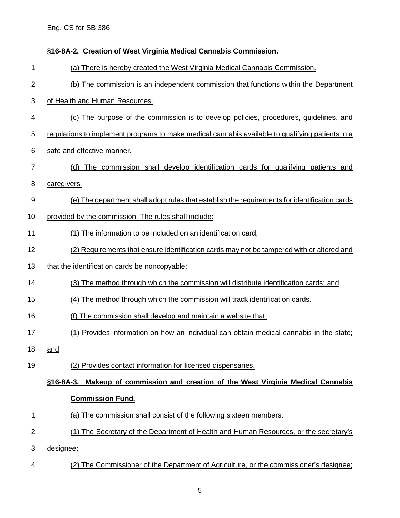# **§16-8A-2. Creation of West Virginia Medical Cannabis Commission.** (a) There is hereby created the West Virginia Medical Cannabis Commission. (b) The commission is an independent commission that functions within the Department of Health and Human Resources. (c) The purpose of the commission is to develop policies, procedures, guidelines, and regulations to implement programs to make medical cannabis available to qualifying patients in a safe and effective manner. (d) The commission shall develop identification cards for qualifying patients and caregivers. (e) The department shall adopt rules that establish the requirements for identification cards provided by the commission. The rules shall include: 11 (1) The information to be included on an identification card; (2) Requirements that ensure identification cards may not be tampered with or altered and 13 that the identification cards be noncopyable; (3) The method through which the commission will distribute identification cards; and (4) The method through which the commission will track identification cards. (f) The commission shall develop and maintain a website that: (1) Provides information on how an individual can obtain medical cannabis in the state; and (2) Provides contact information for licensed dispensaries. **§16-8A-3. Makeup of commission and creation of the West Virginia Medical Cannabis Commission Fund.** (a) The commission shall consist of the following sixteen members: (1) The Secretary of the Department of Health and Human Resources, or the secretary's designee; (2) The Commissioner of the Department of Agriculture, or the commissioner's designee;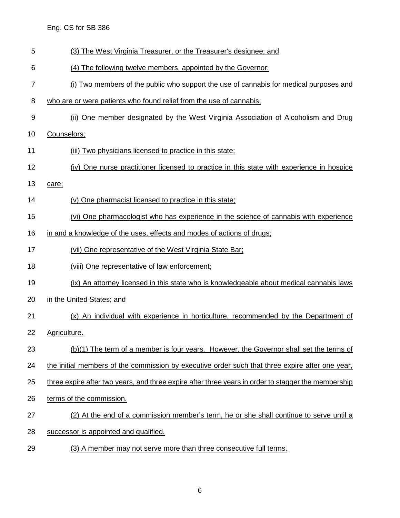- (3) The West Virginia Treasurer, or the Treasurer's designee; and
- (4) The following twelve members, appointed by the Governor:
- (i) Two members of the public who support the use of cannabis for medical purposes and
- who are or were patients who found relief from the use of cannabis;
- (ii) One member designated by the West Virginia Association of Alcoholism and Drug
- Counselors;
- (iii) Two physicians licensed to practice in this state;
- (iv) One nurse practitioner licensed to practice in this state with experience in hospice
- care;
- (v) One pharmacist licensed to practice in this state;
- (vi) One pharmacologist who has experience in the science of cannabis with experience
- 16 in and a knowledge of the uses, effects and modes of actions of drugs;
- (vii) One representative of the West Virginia State Bar;
- 18 (viii) One representative of law enforcement;
- (ix) An attorney licensed in this state who is knowledgeable about medical cannabis laws
- in the United States; and
- (x) An individual with experience in horticulture, recommended by the Department of
- Agriculture.
- (b)(1) The term of a member is four years. However, the Governor shall set the terms of
- the initial members of the commission by executive order such that three expire after one year,
- three expire after two years, and three expire after three years in order to stagger the membership
- 26 terms of the commission.
- (2) At the end of a commission member's term, he or she shall continue to serve until a
- successor is appointed and qualified.
- (3) A member may not serve more than three consecutive full terms.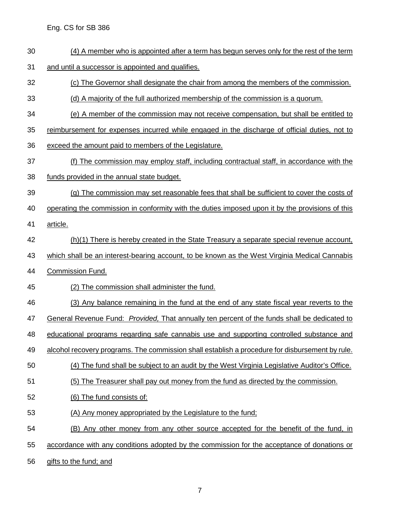- (4) A member who is appointed after a term has begun serves only for the rest of the term
- and until a successor is appointed and qualifies.
- (c) The Governor shall designate the chair from among the members of the commission.
- (d) A majority of the full authorized membership of the commission is a quorum.
- (e) A member of the commission may not receive compensation, but shall be entitled to
- reimbursement for expenses incurred while engaged in the discharge of official duties, not to
- exceed the amount paid to members of the Legislature.
- (f) The commission may employ staff, including contractual staff, in accordance with the funds provided in the annual state budget.
- 
- (g) The commission may set reasonable fees that shall be sufficient to cover the costs of
- 40 operating the commission in conformity with the duties imposed upon it by the provisions of this
- article.
- (h)(1) There is hereby created in the State Treasury a separate special revenue account,
- 43 which shall be an interest-bearing account, to be known as the West Virginia Medical Cannabis
- Commission Fund.
- (2) The commission shall administer the fund.
- (3) Any balance remaining in the fund at the end of any state fiscal year reverts to the
- General Revenue Fund: *Provided,* That annually ten percent of the funds shall be dedicated to
- educational programs regarding safe cannabis use and supporting controlled substance and
- alcohol recovery programs. The commission shall establish a procedure for disbursement by rule.
- (4) The fund shall be subject to an audit by the West Virginia Legislative Auditor's Office.
- (5) The Treasurer shall pay out money from the fund as directed by the commission.
- (6) The fund consists of:
- (A) Any money appropriated by the Legislature to the fund;
- (B) Any other money from any other source accepted for the benefit of the fund, in
- accordance with any conditions adopted by the commission for the acceptance of donations or
- gifts to the fund; and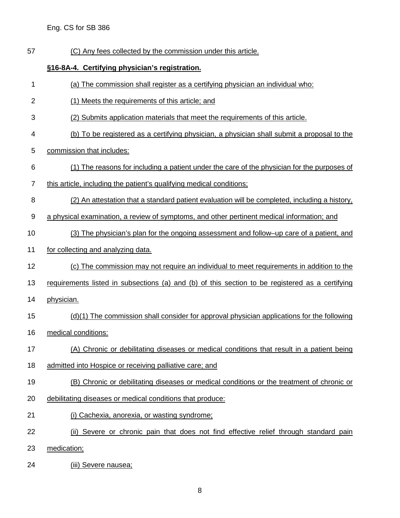(C) Any fees collected by the commission under this article.

#### **§16-8A-4. Certifying physician's registration.**

- (a) The commission shall register as a certifying physician an individual who:
- (1) Meets the requirements of this article; and
- (2) Submits application materials that meet the requirements of this article.
- (b) To be registered as a certifying physician, a physician shall submit a proposal to the
- commission that includes:
- (1) The reasons for including a patient under the care of the physician for the purposes of
- this article, including the patient's qualifying medical conditions;
- (2) An attestation that a standard patient evaluation will be completed, including a history,
- a physical examination, a review of symptoms, and other pertinent medical information; and
- 10 (3) The physician's plan for the ongoing assessment and follow–up care of a patient, and
- for collecting and analyzing data.
- (c) The commission may not require an individual to meet requirements in addition to the
- 13 requirements listed in subsections (a) and (b) of this section to be registered as a certifying
- physician.
- (d)(1) The commission shall consider for approval physician applications for the following
- medical conditions:
- (A) Chronic or debilitating diseases or medical conditions that result in a patient being
- admitted into Hospice or receiving palliative care; and
- (B) Chronic or debilitating diseases or medical conditions or the treatment of chronic or
- debilitating diseases or medical conditions that produce:
- (i) Cachexia, anorexia, or wasting syndrome;
- (ii) Severe or chronic pain that does not find effective relief through standard pain
- medication;
- (iii) Severe nausea;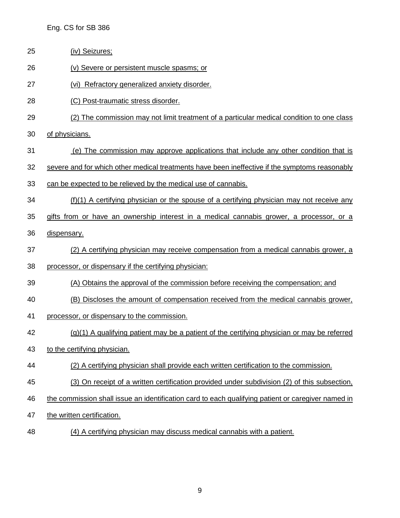- (iv) Seizures;
- (v) Severe or persistent muscle spasms; or
- (vi) Refractory generalized anxiety disorder.
- (C) Post-traumatic stress disorder.
- (2) The commission may not limit treatment of a particular medical condition to one class
- of physicians.
- (e) The commission may approve applications that include any other condition that is
- severe and for which other medical treatments have been ineffective if the symptoms reasonably
- can be expected to be relieved by the medical use of cannabis.
- (f)(1) A certifying physician or the spouse of a certifying physician may not receive any
- gifts from or have an ownership interest in a medical cannabis grower, a processor, or a
- dispensary.
- (2) A certifying physician may receive compensation from a medical cannabis grower, a processor, or dispensary if the certifying physician:
- 
- (A) Obtains the approval of the commission before receiving the compensation; and
- (B) Discloses the amount of compensation received from the medical cannabis grower,
- processor, or dispensary to the commission.
- (g)(1) A qualifying patient may be a patient of the certifying physician or may be referred
- to the certifying physician.
- 44 (2) A certifying physician shall provide each written certification to the commission.
- (3) On receipt of a written certification provided under subdivision (2) of this subsection,
- the commission shall issue an identification card to each qualifying patient or caregiver named in
- the written certification.
- (4) A certifying physician may discuss medical cannabis with a patient.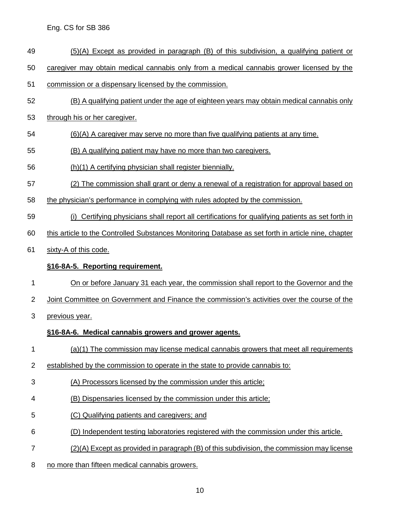- (5)(A) Except as provided in paragraph (B) of this subdivision, a qualifying patient or
- caregiver may obtain medical cannabis only from a medical cannabis grower licensed by the
- commission or a dispensary licensed by the commission.
- (B) A qualifying patient under the age of eighteen years may obtain medical cannabis only
- through his or her caregiver.
- (6)(A) A caregiver may serve no more than five qualifying patients at any time.
- (B) A qualifying patient may have no more than two caregivers.
- (h)(1) A certifying physician shall register biennially.
- (2) The commission shall grant or deny a renewal of a registration for approval based on
- the physician's performance in complying with rules adopted by the commission.
- (i) Certifying physicians shall report all certifications for qualifying patients as set forth in
- this article to the Controlled Substances Monitoring Database as set forth in article nine, chapter
- sixty-A of this code.

### **§16-8A-5. Reporting requirement.**

- 1 On or before January 31 each year, the commission shall report to the Governor and the
- Joint Committee on Government and Finance the commission's activities over the course of the
- previous year.

## **§16-8A-6. Medical cannabis growers and grower agents.**

- (a)(1) The commission may license medical cannabis growers that meet all requirements
- established by the commission to operate in the state to provide cannabis to:
- (A) Processors licensed by the commission under this article;
- (B) Dispensaries licensed by the commission under this article;
- (C) Qualifying patients and caregivers; and
- (D) Independent testing laboratories registered with the commission under this article.
- (2)(A) Except as provided in paragraph (B) of this subdivision, the commission may license
- no more than fifteen medical cannabis growers.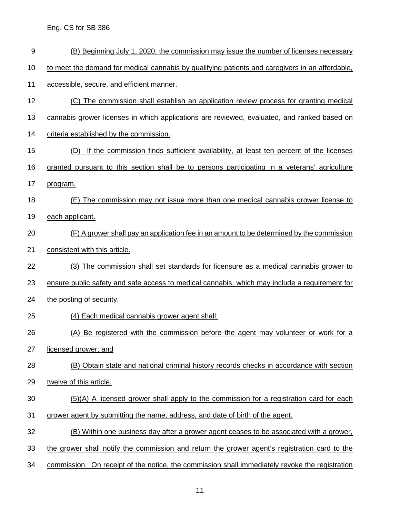(B) Beginning July 1, 2020, the commission may issue the number of licenses necessary to meet the demand for medical cannabis by qualifying patients and caregivers in an affordable, accessible, secure, and efficient manner. (C) The commission shall establish an application review process for granting medical cannabis grower licenses in which applications are reviewed, evaluated, and ranked based on criteria established by the commission. (D) If the commission finds sufficient availability, at least ten percent of the licenses granted pursuant to this section shall be to persons participating in a veterans' agriculture program. (E) The commission may not issue more than one medical cannabis grower license to each applicant. (F) A grower shall pay an application fee in an amount to be determined by the commission consistent with this article. (3) The commission shall set standards for licensure as a medical cannabis grower to ensure public safety and safe access to medical cannabis, which may include a requirement for the posting of security. (4) Each medical cannabis grower agent shall: (A) Be registered with the commission before the agent may volunteer or work for a licensed grower; and (B) Obtain state and national criminal history records checks in accordance with section twelve of this article. (5)(A) A licensed grower shall apply to the commission for a registration card for each grower agent by submitting the name, address, and date of birth of the agent. (B) Within one business day after a grower agent ceases to be associated with a grower, the grower shall notify the commission and return the grower agent's registration card to the commission. On receipt of the notice, the commission shall immediately revoke the registration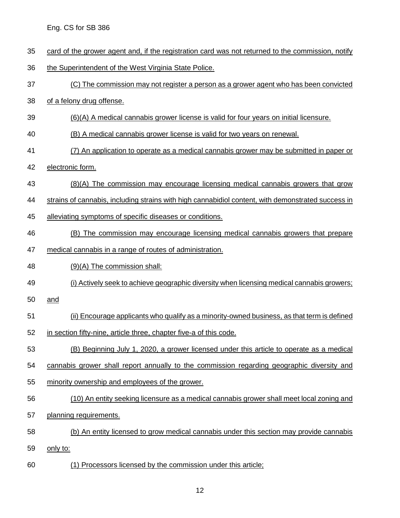- card of the grower agent and, if the registration card was not returned to the commission, notify
- the Superintendent of the West Virginia State Police.
- (C) The commission may not register a person as a grower agent who has been convicted
- of a felony drug offense.
- (6)(A) A medical cannabis grower license is valid for four years on initial licensure.
- (B) A medical cannabis grower license is valid for two years on renewal.
- (7) An application to operate as a medical cannabis grower may be submitted in paper or
- electronic form.
- (8)(A) The commission may encourage licensing medical cannabis growers that grow
- strains of cannabis, including strains with high cannabidiol content, with demonstrated success in
- alleviating symptoms of specific diseases or conditions.
- (B) The commission may encourage licensing medical cannabis growers that prepare
- medical cannabis in a range of routes of administration.
- (9)(A) The commission shall:
- (i) Actively seek to achieve geographic diversity when licensing medical cannabis growers;
- and
- (ii) Encourage applicants who qualify as a minority-owned business, as that term is defined
- in section fifty-nine, article three, chapter five-a of this code.
- (B) Beginning July 1, 2020, a grower licensed under this article to operate as a medical
- cannabis grower shall report annually to the commission regarding geographic diversity and
- minority ownership and employees of the grower.
- (10) An entity seeking licensure as a medical cannabis grower shall meet local zoning and
- planning requirements.
- (b) An entity licensed to grow medical cannabis under this section may provide cannabis
- only to:
- (1) Processors licensed by the commission under this article;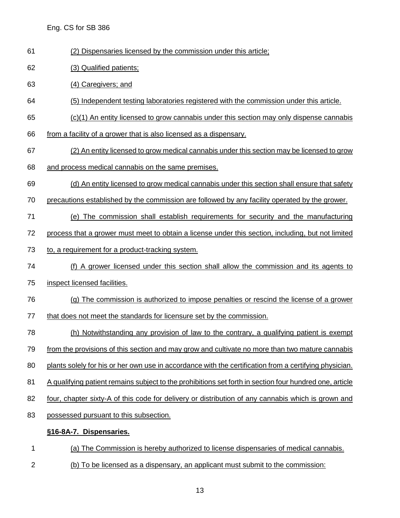- (2) Dispensaries licensed by the commission under this article;
- (3) Qualified patients;
- (4) Caregivers; and
- (5) Independent testing laboratories registered with the commission under this article.
- (c)(1) An entity licensed to grow cannabis under this section may only dispense cannabis
- from a facility of a grower that is also licensed as a dispensary.
- (2) An entity licensed to grow medical cannabis under this section may be licensed to grow
- and process medical cannabis on the same premises.
- (d) An entity licensed to grow medical cannabis under this section shall ensure that safety
- precautions established by the commission are followed by any facility operated by the grower.
- (e) The commission shall establish requirements for security and the manufacturing
- process that a grower must meet to obtain a license under this section, including, but not limited
- to, a requirement for a product-tracking system.
- (f) A grower licensed under this section shall allow the commission and its agents to
- inspect licensed facilities.
- (g) The commission is authorized to impose penalties or rescind the license of a grower
- 77 that does not meet the standards for licensure set by the commission.
- (h) Notwithstanding any provision of law to the contrary, a qualifying patient is exempt
- from the provisions of this section and may grow and cultivate no more than two mature cannabis
- 80 plants solely for his or her own use in accordance with the certification from a certifying physician.
- A qualifying patient remains subject to the prohibitions set forth in section four hundred one, article
- 82 four, chapter sixty-A of this code for delivery or distribution of any cannabis which is grown and
- possessed pursuant to this subsection.

#### **§16-8A-7. Dispensaries.**

- (a) The Commission is hereby authorized to license dispensaries of medical cannabis.
- (b) To be licensed as a dispensary, an applicant must submit to the commission: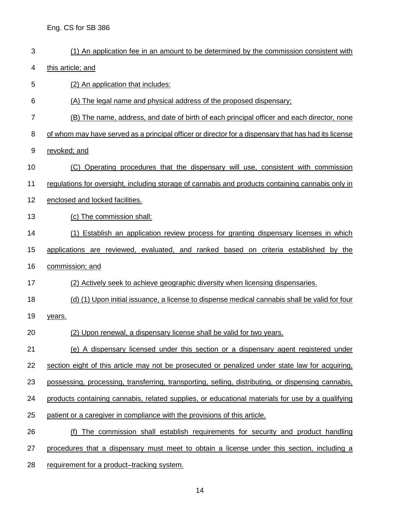(1) An application fee in an amount to be determined by the commission consistent with this article; and (2) An application that includes: (A) The legal name and physical address of the proposed dispensary; (B) The name, address, and date of birth of each principal officer and each director, none of whom may have served as a principal officer or director for a dispensary that has had its license revoked; and (C) Operating procedures that the dispensary will use, consistent with commission regulations for oversight, including storage of cannabis and products containing cannabis only in enclosed and locked facilities. (c) The commission shall: 14 (1) Establish an application review process for granting dispensary licenses in which applications are reviewed, evaluated, and ranked based on criteria established by the commission; and (2) Actively seek to achieve geographic diversity when licensing dispensaries. (d) (1) Upon initial issuance, a license to dispense medical cannabis shall be valid for four years. (2) Upon renewal, a dispensary license shall be valid for two years. (e) A dispensary licensed under this section or a dispensary agent registered under section eight of this article may not be prosecuted or penalized under state law for acquiring, possessing, processing, transferring, transporting, selling, distributing, or dispensing cannabis, products containing cannabis, related supplies, or educational materials for use by a qualifying patient or a caregiver in compliance with the provisions of this article. (f) The commission shall establish requirements for security and product handling procedures that a dispensary must meet to obtain a license under this section, including a requirement for a product–tracking system.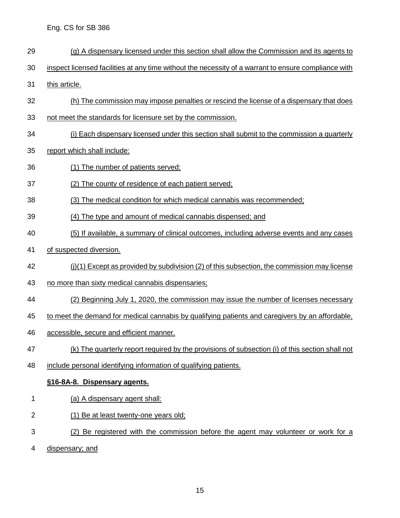- (g) A dispensary licensed under this section shall allow the Commission and its agents to
- inspect licensed facilities at any time without the necessity of a warrant to ensure compliance with
- this article.
- (h) The commission may impose penalties or rescind the license of a dispensary that does
- not meet the standards for licensure set by the commission.
- (i) Each dispensary licensed under this section shall submit to the commission a quarterly
- report which shall include:
- (1) The number of patients served;
- (2) The county of residence of each patient served;
- (3) The medical condition for which medical cannabis was recommended;
- (4) The type and amount of medical cannabis dispensed; and
- (5) If available, a summary of clinical outcomes, including adverse events and any cases
- of suspected diversion.
- (j)(1) Except as provided by subdivision (2) of this subsection, the commission may license
- 43 no more than sixty medical cannabis dispensaries;
- (2) Beginning July 1, 2020, the commission may issue the number of licenses necessary
- 45 to meet the demand for medical cannabis by qualifying patients and caregivers by an affordable,
- accessible, secure and efficient manner.
- (k) The quarterly report required by the provisions of subsection (i) of this section shall not
- include personal identifying information of qualifying patients.

### **§16-8A-8. Dispensary agents.**

- 1 (a) A dispensary agent shall:
- (1) Be at least twenty-one years old;
- (2) Be registered with the commission before the agent may volunteer or work for a
- dispensary; and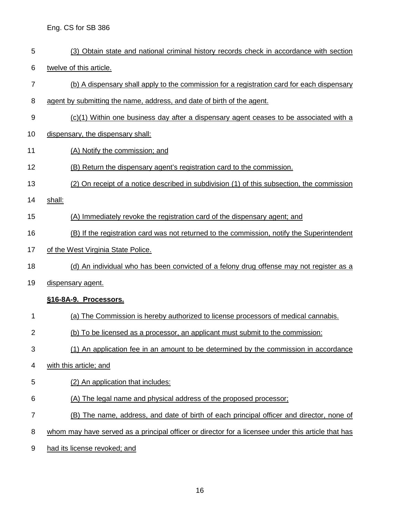- (3) Obtain state and national criminal history records check in accordance with section
- twelve of this article.
- (b) A dispensary shall apply to the commission for a registration card for each dispensary
- agent by submitting the name, address, and date of birth of the agent.
- 9 (c)(1) Within one business day after a dispensary agent ceases to be associated with a
- dispensary, the dispensary shall:
- (A) Notify the commission; and
- (B) Return the dispensary agent's registration card to the commission.
- (2) On receipt of a notice described in subdivision (1) of this subsection, the commission
- shall:
- (A) Immediately revoke the registration card of the dispensary agent; and
- 16 (B) If the registration card was not returned to the commission, notify the Superintendent
- 17 of the West Virginia State Police.
- 18 (d) An individual who has been convicted of a felony drug offense may not register as a
- dispensary agent.

#### **§16-8A-9. Processors.**

- (a) The Commission is hereby authorized to license processors of medical cannabis.
- (b) To be licensed as a processor, an applicant must submit to the commission:
- (1) An application fee in an amount to be determined by the commission in accordance
- with this article; and
- (2) An application that includes:
- (A) The legal name and physical address of the proposed processor;
- (B) The name, address, and date of birth of each principal officer and director, none of
- whom may have served as a principal officer or director for a licensee under this article that has
- had its license revoked; and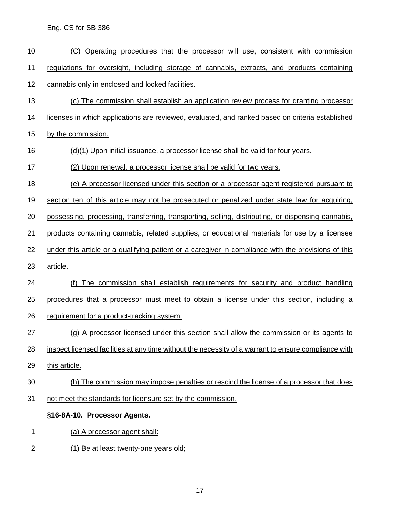- (C) Operating procedures that the processor will use, consistent with commission regulations for oversight, including storage of cannabis, extracts, and products containing cannabis only in enclosed and locked facilities.
- (c) The commission shall establish an application review process for granting processor
- licenses in which applications are reviewed, evaluated, and ranked based on criteria established
- by the commission.
- (d)(1) Upon initial issuance, a processor license shall be valid for four years.
- (2) Upon renewal, a processor license shall be valid for two years.
- (e) A processor licensed under this section or a processor agent registered pursuant to
- section ten of this article may not be prosecuted or penalized under state law for acquiring,
- possessing, processing, transferring, transporting, selling, distributing, or dispensing cannabis,
- products containing cannabis, related supplies, or educational materials for use by a licensee
- under this article or a qualifying patient or a caregiver in compliance with the provisions of this
- article.
- (f) The commission shall establish requirements for security and product handling
- procedures that a processor must meet to obtain a license under this section, including a
- 26 requirement for a product-tracking system.
- (g) A processor licensed under this section shall allow the commission or its agents to
- inspect licensed facilities at any time without the necessity of a warrant to ensure compliance with
- this article.
- (h) The commission may impose penalties or rescind the license of a processor that does
- not meet the standards for licensure set by the commission.

#### **§16-8A-10. Processor Agents.**

- (a) A processor agent shall:
- (1) Be at least twenty-one years old;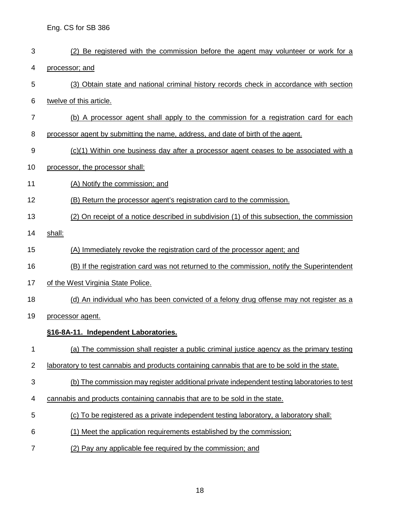| 3              | Be registered with the commission before the agent may volunteer or work for a<br>(2)          |
|----------------|------------------------------------------------------------------------------------------------|
| 4              | processor; and                                                                                 |
| 5              | (3) Obtain state and national criminal history records check in accordance with section        |
| 6              | twelve of this article.                                                                        |
| 7              | (b) A processor agent shall apply to the commission for a registration card for each           |
| 8              | processor agent by submitting the name, address, and date of birth of the agent.               |
| 9              | $(c)(1)$ Within one business day after a processor agent ceases to be associated with a        |
| 10             | processor, the processor shall:                                                                |
| 11             | (A) Notify the commission; and                                                                 |
| 12             | (B) Return the processor agent's registration card to the commission.                          |
| 13             | (2) On receipt of a notice described in subdivision (1) of this subsection, the commission     |
| 14             | shall:                                                                                         |
| 15             | (A) Immediately revoke the registration card of the processor agent; and                       |
| 16             | (B) If the registration card was not returned to the commission, notify the Superintendent     |
| 17             | of the West Virginia State Police.                                                             |
| 18             | (d) An individual who has been convicted of a felony drug offense may not register as a        |
| 19             | processor agent.                                                                               |
|                | §16-8A-11. Independent Laboratories.                                                           |
| 1              | (a) The commission shall register a public criminal justice agency as the primary testing      |
| $\overline{c}$ | laboratory to test cannabis and products containing cannabis that are to be sold in the state. |
| 3              | (b) The commission may register additional private independent testing laboratories to test    |
| 4              | cannabis and products containing cannabis that are to be sold in the state.                    |
| 5              | (c) To be registered as a private independent testing laboratory, a laboratory shall:          |
| 6              | (1) Meet the application requirements established by the commission;                           |
| 7              | (2) Pay any applicable fee required by the commission; and                                     |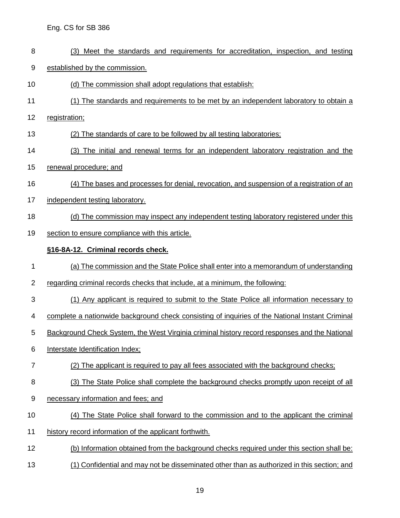- (3) Meet the standards and requirements for accreditation, inspection, and testing
- established by the commission.
- (d) The commission shall adopt regulations that establish:
- (1) The standards and requirements to be met by an independent laboratory to obtain a
- registration;
- (2) The standards of care to be followed by all testing laboratories;
- (3) The initial and renewal terms for an independent laboratory registration and the
- renewal procedure; and
- (4) The bases and processes for denial, revocation, and suspension of a registration of an
- independent testing laboratory.
- (d) The commission may inspect any independent testing laboratory registered under this
- 19 section to ensure compliance with this article.

### **§16-8A-12. Criminal records check.**

- (a) The commission and the State Police shall enter into a memorandum of understanding
- regarding criminal records checks that include, at a minimum, the following:
- (1) Any applicant is required to submit to the State Police all information necessary to
- complete a nationwide background check consisting of inquiries of the National Instant Criminal
- Background Check System, the West Virginia criminal history record responses and the National
- Interstate Identification Index;
- 7 (2) The applicant is required to pay all fees associated with the background checks;
- (3) The State Police shall complete the background checks promptly upon receipt of all
- necessary information and fees; and
- (4) The State Police shall forward to the commission and to the applicant the criminal
- history record information of the applicant forthwith.
- (b) Information obtained from the background checks required under this section shall be:
- (1) Confidential and may not be disseminated other than as authorized in this section; and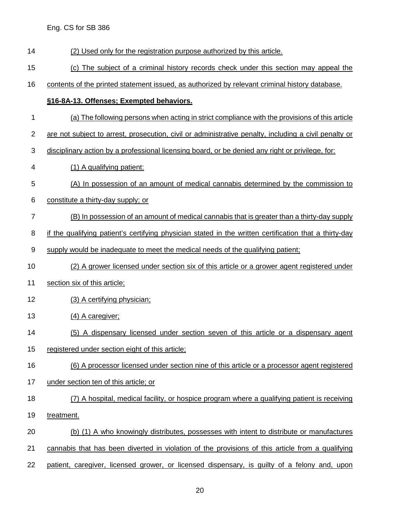- (2) Used only for the registration purpose authorized by this article.
- (c) The subject of a criminal history records check under this section may appeal the

contents of the printed statement issued, as authorized by relevant criminal history database.

#### **§16-8A-13. Offenses; Exempted behaviors.**

- (a) The following persons when acting in strict compliance with the provisions of this article
- are not subject to arrest, prosecution, civil or administrative penalty, including a civil penalty or
- disciplinary action by a professional licensing board, or be denied any right or privilege, for:
- (1) A qualifying patient:
- (A) In possession of an amount of medical cannabis determined by the commission to
- constitute a thirty-day supply; or
- (B) In possession of an amount of medical cannabis that is greater than a thirty-day supply
- 8 if the qualifying patient's certifying physician stated in the written certification that a thirty-day
- supply would be inadequate to meet the medical needs of the qualifying patient;
- (2) A grower licensed under section six of this article or a grower agent registered under
- section six of this article;
- (3) A certifying physician;
- 13 (4) A caregiver;
- (5) A dispensary licensed under section seven of this article or a dispensary agent
- registered under section eight of this article;
- (6) A processor licensed under section nine of this article or a processor agent registered
- under section ten of this article; or
- (7) A hospital, medical facility, or hospice program where a qualifying patient is receiving
- treatment.
- (b) (1) A who knowingly distributes, possesses with intent to distribute or manufactures
- cannabis that has been diverted in violation of the provisions of this article from a qualifying
- patient, caregiver, licensed grower, or licensed dispensary, is guilty of a felony and, upon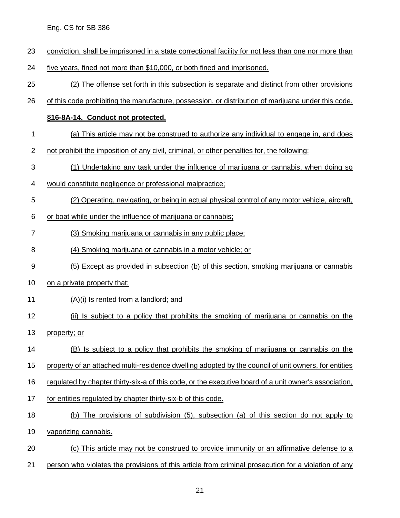- conviction, shall be imprisoned in a state correctional facility for not less than one nor more than
- five years, fined not more than \$10,000, or both fined and imprisoned.
- (2) The offense set forth in this subsection is separate and distinct from other provisions
- of this code prohibiting the manufacture, possession, or distribution of marijuana under this code.

#### **§16-8A-14. Conduct not protected.**

- (a) This article may not be construed to authorize any individual to engage in, and does
- 2 not prohibit the imposition of any civil, criminal, or other penalties for, the following:
- (1) Undertaking any task under the influence of marijuana or cannabis, when doing so
- would constitute negligence or professional malpractice;
- (2) Operating, navigating, or being in actual physical control of any motor vehicle, aircraft,
- or boat while under the influence of marijuana or cannabis;
- (3) Smoking marijuana or cannabis in any public place;
- (4) Smoking marijuana or cannabis in a motor vehicle; or
- (5) Except as provided in subsection (b) of this section, smoking marijuana or cannabis
- on a private property that:
- (A)(i) Is rented from a landlord; and
- 12 (ii) Is subject to a policy that prohibits the smoking of marijuana or cannabis on the
- property; or
- (B) Is subject to a policy that prohibits the smoking of marijuana or cannabis on the
- property of an attached multi-residence dwelling adopted by the council of unit owners, for entities
- regulated by chapter thirty-six-a of this code, or the executive board of a unit owner's association,
- 17 for entities regulated by chapter thirty-six-b of this code.
- (b) The provisions of subdivision (5), subsection (a) of this section do not apply to
- vaporizing cannabis.
- (c) This article may not be construed to provide immunity or an affirmative defense to a
- person who violates the provisions of this article from criminal prosecution for a violation of any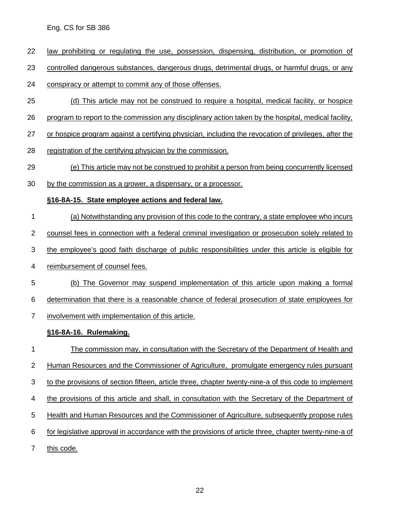- 22 law prohibiting or regulating the use, possession, dispensing, distribution, or promotion of
- controlled dangerous substances, dangerous drugs, detrimental drugs, or harmful drugs, or any

conspiracy or attempt to commit any of those offenses.

- (d) This article may not be construed to require a hospital, medical facility, or hospice
- program to report to the commission any disciplinary action taken by the hospital, medical facility,
- or hospice program against a certifying physician, including the revocation of privileges, after the
- 28 registration of the certifying physician by the commission.
- (e) This article may not be construed to prohibit a person from being concurrently licensed
- by the commission as a grower, a dispensary, or a processor.

### **§16-8A-15. State employee actions and federal law.**

- (a) Notwithstanding any provision of this code to the contrary, a state employee who incurs
- 2 counsel fees in connection with a federal criminal investigation or prosecution solely related to
- the employee's good faith discharge of public responsibilities under this article is eligible for
- reimbursement of counsel fees.
- (b) The Governor may suspend implementation of this article upon making a formal determination that there is a reasonable chance of federal prosecution of state employees for
- 
- involvement with implementation of this article.

### **§16-8A-16. Rulemaking.**

 The commission may, in consultation with the Secretary of the Department of Health and Human Resources and the Commissioner of Agriculture, promulgate emergency rules pursuant to the provisions of section fifteen, article three, chapter twenty-nine-a of this code to implement 4 the provisions of this article and shall, in consultation with the Secretary of the Department of Health and Human Resources and the Commissioner of Agriculture, subsequently propose rules for legislative approval in accordance with the provisions of article three, chapter twenty-nine-a of 7 this code.